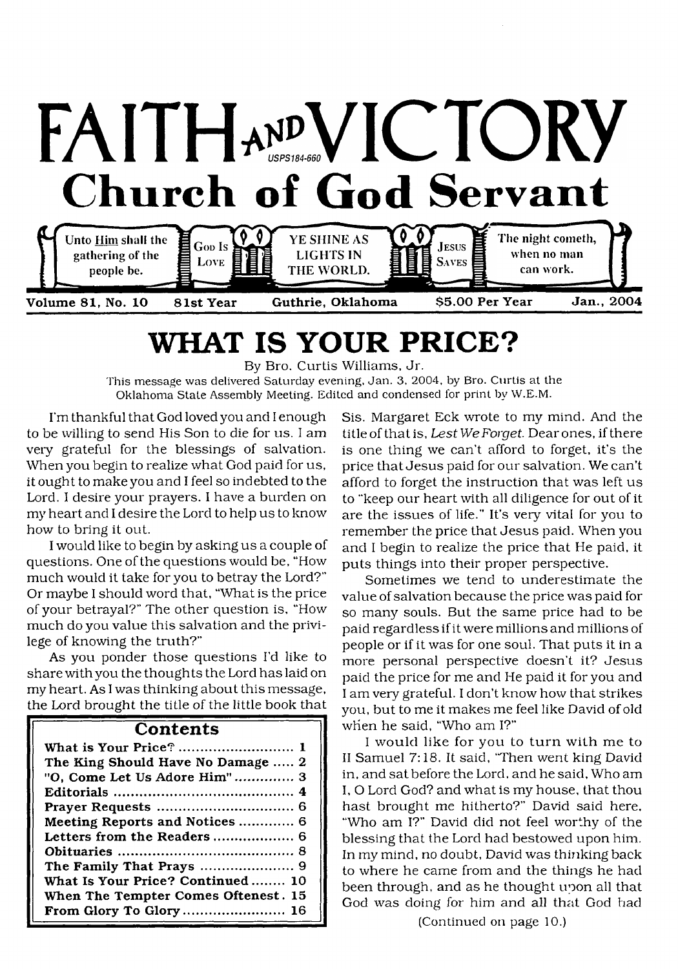

# <span id="page-0-0"></span>**WHAT IS YOUR PRICE?**

By Bro. Curtis Williams, Jr.

This message was delivered Saturday evening, Jan. 3, 2004, by Bro. Curtis at the Oklahoma State Assembly Meeting. Edited and condensed for print by W.E.M.

I'm thankful that God loved you and I enough to be willing to send His Son to die for us. I am very grateful for the blessings of salvation. When you begin to realize what God paid for us, it ought to make you and I feel so indebted to the Lord. I desire your prayers. I have a burden on my heart and I desire the Lord to help us to know how to bring it out.

I would like to begin by asking us a couple of questions. One of the questions would be, "How much would it take for you to betray the Lord?" Or maybe I should word that, "What is the price of your betrayal?" The other question is, "How much do you value this salvation and the privilege of knowing the truth?"

As you ponder those questions I'd like to share with you the thoughts the Lord has laid on my heart. As I was thinking about this message, the Lord brought the title of the little book that

### **Contents**

| The King Should Have No Damage  2<br>"O, Come Let Us Adore Him" 3 |
|-------------------------------------------------------------------|
| Meeting Reports and Notices  6<br>Letters from the Readers  6     |
| What Is Your Price? Continued 10                                  |
| When The Tempter Comes Oftenest. 15<br>From Glory To Glory 16     |

Sis. Margaret Eck wrote to my mind. And the title of that is. *Lest We Forget* Dear ones, if there is one thing we can't afford to forget, it's the price that Jesus paid for our salvation. We can't afford to forget the instruction that was left us to "keep our heart with all diligence for out of it are the issues of life." It's very vital for you to remember the price that Jesus paid. When you and I begin to realize the price that He paid, it puts things into their proper perspective.

Sometimes we tend to underestimate the value of salvation because the price was paid for so many souls. But the same price had to be paid regardless if it were millions and millions of people or if it was for one soul. That puts it in a more personal perspective doesn't it? Jesus paid the price for me and He paid it for you and I am very grateful. I don't know how that strikes you, but to me it makes me feel like David of old when he said, "Who am I?"

I would like for you to turn with me to II Samuel 7:18. It said, 'Then went king David in, and sat before the Lord, and he said, Who am I, O Lord God? and what is my house, that thou hast brought me hitherto?" David said here, "Who am I?" David did not feel worthy of the blessing that the Lord had bestowed upon him. In my mind, no doubt, David was thinking back to where he came from and the things he had been through, and as he thought upon all that God was doing for him and all that God had

(Continued on page 10.)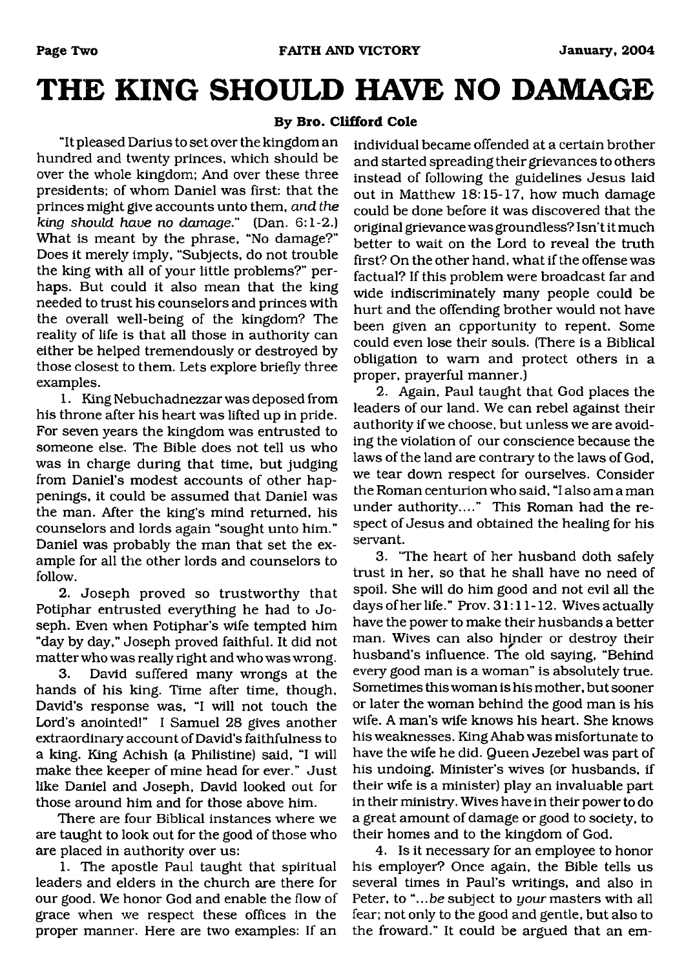# <span id="page-1-0"></span>**THE KING SHOULD HAVE NO DAMAGE**

### **By Bro. Clifford Cole**

"It pleased Darius to set over the kingdom an hundred and twenty princes, which should be over the whole kingdom; And over these three presidents; of whom Daniel was first: that the princes might give accounts unto them, *and the king should have no damage*." (Dan. 6:1-2.) What is meant by the phrase, "No damage?" Does it merely imply, "Subjects, do not trouble the king with all of your little problems?" perhaps. But could it also mean that the king needed to trust his counselors and princes with the overall well-being of the kingdom? The reality of life is that all those in authority can either be helped tremendously or destroyed by those closest to them. Lets explore briefly three examples.

1. King Nebuchadnezzar was deposed from his throne after his heart was lifted up in pride. For seven years the kingdom was entrusted to someone else. The Bible does not tell us who was in charge during that time, but judging from Daniel's modest accounts of other happenings, it could be assumed that Daniel was the man. After the king's mind returned, his counselors and lords again "sought unto him." Daniel was probably the man that set the example for all the other lords and counselors to follow.

2. Joseph proved so trustworthy that Potiphar entrusted everything he had to Joseph. Even when Potiphar's wife tempted him "day by day," Joseph proved faithful. It did not matter who was really right and who was wrong.

3. David suffered many wrongs at the hands of his king. Time after time, though, David's response was, "I will not touch the Lord's anointed!" I Samuel 28 gives another extraordinary account of David's faithfulness to a king. King Achish (a Philistine) said, "I will make thee keeper of mine head for ever." Just like Daniel and Joseph, David looked out for those around him and for those above him.

There are four Biblical instances where we are taught to look out for the good of those who are placed in authority over us:

1. The apostle Paul taught that spiritual leaders and elders in the church are there for our good. We honor God and enable the flow of grace when we respect these offices in the proper manner. Here are two examples: If an

individual became offended at a certain brother and started spreading their grievances to others instead of following the guidelines Jesus laid out in Matthew 18:15-17, how much damage could be done before it was discovered that the original grievance was groundless? Isn't it much better to wait on the Lord to reveal the truth first? On the other hand, what if the offense was factual? If this problem were broadcast far and wide indiscriminately many people could be hurt and the offending brother would not have been given an opportunity to repent. Some could even lose their souls. (There is a Biblical obligation to warn and protect others in a proper, prayerful manner.)

2. Again, Paul taught that God places the leaders of our land. We can rebel against their authority if we choose, but unless we are avoiding the violation of our conscience because the laws of the land are contrary to the laws of God, we tear down respect for ourselves. Consider the Roman centurion who said, "I also am a man under authority...." This Roman had the respect of Jesus and obtained the healing for his servant.

3. "The heart of her husband doth safely trust in her, so that he shall have no need of spoil. She will do him good and not evil all the days of her life." Prov. 31:11-12. Wives actually have the power to make their husbands a better man. Wives can also hinder or destroy their husband's influence. The old saying, "Behind every good man is a woman" is absolutely true. Sometimes this woman is his mother, but sooner or later the woman behind the good man is his wife. A man's wife knows his heart. She knows his weaknesses. King Ahab was misfortunate to have the wife he did. Queen Jezebel was part of his undoing. Minister's wives (or husbands, if their wife is a minister) play an invaluable part in their ministry. Wives have in their power to do a great amount of damage or good to society, to their homes and to the kingdom of God.

4. Is it necessary for an employee to honor his employer? Once again, the Bible tells us several times in Paul's writings, and also in Peter, to "...be subject to *your* masters with all fear; not only to the good and gentle, but also to the froward." It could be argued that an em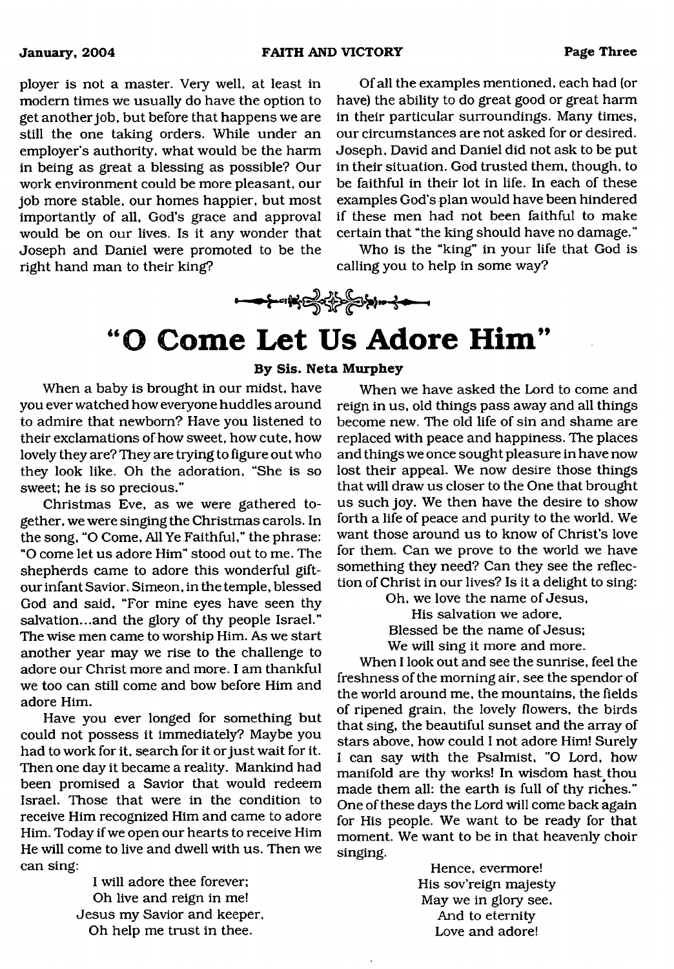ployer is not a master. Very well, at least in modern times we usually do have the option to get another job, but before that happens we are still the one taking orders. While under an employer's authority, what would be the harm in being as great a blessing as possible? Our work environment could be more pleasant, our job more stable, our homes happier, but most importantly of all, God's grace and approval would be on our lives. Is it any wonder that Joseph and Daniel were promoted to be the right hand man to their king?

Of all the examples mentioned, each had (or have) the ability to do great good or great harm in their particular surroundings. Many times, our circumstances are not asked for or desired. Joseph, David and Daniel did not ask to be put in their situation. God trusted them, though, to be faithful in their lot in life. In each of these examples God's plan would have been hindered if these men had not been faithful to make certain that "the king should have no damage."

Who is the "king" in your life that God is calling you to help in some way?



# <span id="page-2-0"></span>**"O Come Let Us Adore Him"**

### **By Sis. Neta Murphey**

When a baby is brought in our midst, have you ever watched how everyone huddles around to admire that newborn? Have you listened to their exclamations of how sweet, how cute, how lovely they are? They are trying to figure out who they look like. Oh the adoration, "She is so sweet; he is so precious."

Christmas Eve, as we were gathered together, we were singing the Christmas carols. In the song, "O Come, All Ye Faithful," the phrase: "O come let us adore Him" stood out to me. The shepherds came to adore this wonderful giftour infant Savior. Simeon, in the temple, blessed God and said, "For mine eyes have seen thy salvation...and the glory of thy people Israel." The wise men came to worship Him. As we start another year may we rise to the challenge to adore our Christ more and more. I am thankful we too can still come and bow before Him and adore Him.

Have you ever longed for something but could not possess it immediately? Maybe you had to work for it, search for it or just wait for it. Then one day it became a reality. Mankind had been promised a Savior that would redeem Israel. Those that were in the condition to receive Him recognized Him and came to adore Him. Today if we open our hearts to receive Him He will come to live and dwell with us. Then we can sing:

> I will adore thee forever; Oh live and reign in me! Jesus my Savior and keeper, Oh help me trust in thee.

When we have asked the Lord to come and reign in us, old things pass away and all things become new. The old life of sin and shame are replaced with peace and happiness. The places and things we once sought pleasure in have now lost their appeal. We now desire those things that will draw us closer to the One that brought us such joy. We then have the desire to show forth a life of peace and purity to the world. We want those around us to know of Christ's love for them. Can we prove to the world we have something they need? Can they see the reflection of Christ in our lives? Is it a delight to sing:

Oh, we love the name of Jesus, His salvation we adore, Blessed be the name of Jesus; We will sing it more and more.

When I look out and see the sunrise, feel the freshness of the morning air, see the spendor of the world around me, the mountains, the fields of ripened grain, the lovely flowers, the birds that sing, the beautiful sunset and the array of stars above, how could I not adore Him! Surely I can say with the Psalmist, "O Lord, how manifold are thy works! In wisdom hast thou made them all: the earth is full of thy riches." One of these days the Lord will come back again for His people. We want to be ready for that moment. We want to be in that heavenly choir singing.

> Hence, evermore! His sov'reign majesty May we in glory see, And to eternity Love and adore!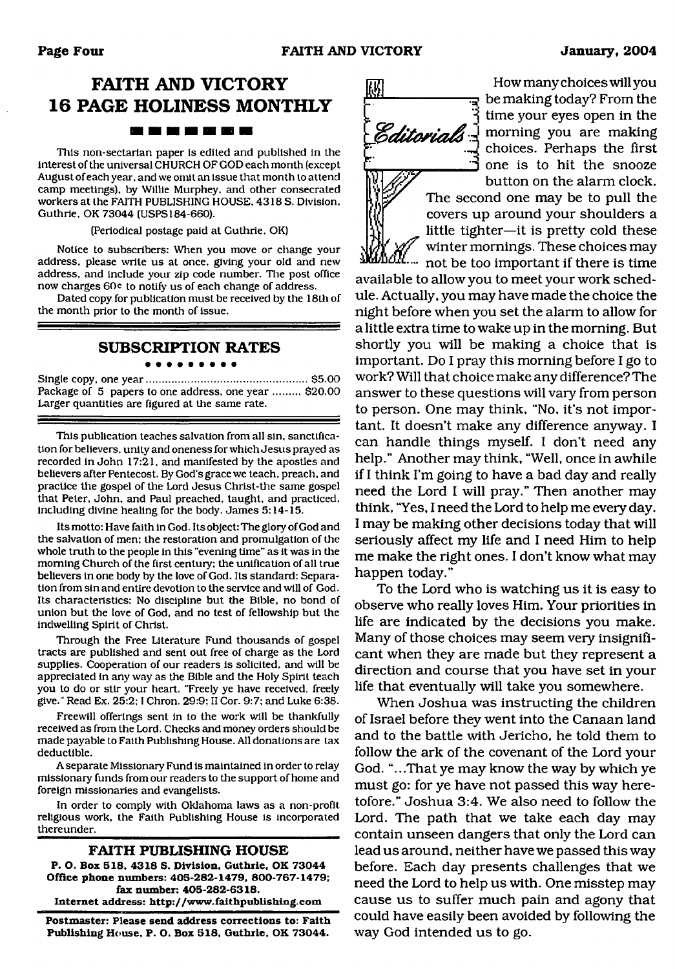## **FAITH AND VICTORY 16 PAGE HOLINESS MONTHLY** <u> 1991 - 1991 - 1991 - 1992 - 1993 - 1993 - 1994 - 1994 - 1994 - 1994 - 1994 - 1994 - 1994 - 1994 - 1994 - 1994 - 1994 - 1994 - 1994 - 1994 - 1994 - 1994 - 1994 - 1994 - 1994 - 1994 - 1994 - 1994 - 1994 - 1994 - 1994 - 199</u>

This non-sectarian paper is edited and published in the interest of the universal CHURCH OF GOD each month (except August of each year, and we omit an issue that month to attend camp meetings), by Willie Murphey, and other consecrated workers at the FAITH PUBLISHING HOUSE, 4318 S. Division, Guthrie, OK 73044 (USPS184-660).

(Periodical postage paid at Guthrie. OK)

Notice to subscribers: When you move or change your address, please write us at once, giving your old and new address, and include your zip code number. The post office now charges 60c to notify us of each change of address.

Dated copy for publication must be received by the 18th of the month prior to the month of issue.

### **SUBSCRIPTION RATES**

. . . . . . .

Single copy, one year......................................................\$5.00 Package of 5 papers to one address, one year ......... \$20.00 Larger quantities are figured at the same rate.

This publication teaches salvation from all sin, sanctification for believers, unity and oneness for which Jesus prayed as recorded in John 17:21, and manifested by the apostles and believers after Pentecost. By God's grace we teach, preach, and practice the gospel of the Lord Jesus Christ-the same gospel that Peter, John, and Paul preached, taught, and practiced, including divine healing for the body. James 5:14-15.

Its motto: Have faith in God. Its object: The glory of God and the salvation of men: the restoration and promulgation of the whole truth to the people in this "evening time" as it was in the morning Church of the first century; the unification of all true believers in one body by the love of God. Its standard: Separation from sin and entire devotion to the service and will of God. Its characteristics: No discipline but the Bible, no bond of union but the love of God, and no test of fellowship but the indwelling Spirit of Christ.

Through the Free Literature Fund thousands of gospel tracts are published and sent out free of charge as the Lord supplies. Cooperation of our readers is solicited, and will be appreciated in any way as the Bible and the Holy Spirit teach you to do or stir your heart. "Freely ye have received, freely give." Read Ex. 25:2:1 Chron. 29:9; II Cor. 9:7; and Luke 6:38.

Freewill offerings sent in to the work will be thankfully received as from the Lord. Checks and money orders should be made payable to Faith Publishing House. All donations are tax deductible.

A separate Missionary Fund is maintained in order to relay missionary funds from our readers to the support of home and foreign missionaries and evangelists.

In order to comply with Oklahoma laws as a non-profit religious work, the Faith Publishing House is incorporated thereunder.

### **FAITH PUBLISHING HOUSE**

**P. O. Box 518, 4318 S. Division, Guthrie, OK 73044 Office phone numbers: 405-282-1479, 800-767-1479; fax number: 405-282-6318. Internet address: <http://www.faithpublishing.com>**

**Postmaster: Please send address corrections to: Faith Publishing House, P. O. Box 518, Guthrie, OK 73044.**

*M* How many choices will you -------be making today? From the time your eyes open in the Editorials I morning you are making choices. Perhaps the first one is to hit the snooze button on the alarm clock.

> The second one may be to pull the covers up around your shoulders a little tighter—it is pretty cold these winter mornings. These choices may *molt....* not be too important if there is time

available to allow you to meet your work schedule. Actually, you may have made the choice the night before when you set the alarm to allow for a little extra time to wake up in the morning. But shortly you will be making a choice that is important. Do I pray this morning before I go to work? Will that choice make any difference? The answer to these questions will vary from person to person. One may think, "No, it's not important. It doesn't make any difference anyway. I can handle things myself. I don't need any help." Another may think, "Well, once in awhile if I think I'm going to have a bad day and really need the Lord I will pray." Then another may think, "Yes, I need the Lord to help me every day. I may be making other decisions today that will seriously affect my life and I need Him to help me make the right ones. I don't know what may happen today."

To the Lord who is watching us it is easy to observe who really loves Him. Your priorities in life are indicated by the decisions you make. Many of those choices may seem very insignificant when they are made but they represent a direction and course that you have set in your life that eventually will take you somewhere.

When Joshua was instructing the children of Israel before they went into the Canaan land and to the battle with Jericho, he told them to follow the ark of the covenant of the Lord your God. ".. .That ye may know the way by which ye must go: for ye have not passed this way heretofore." Joshua 3:4. We also need to follow the Lord. The path that we take each day may contain unseen dangers that only the Lord can lead us around, neither have we passed this way before. Each day presents challenges that we need the Lord to help us with. One misstep may cause us to suffer much pain and agony that could have easily been avoided by following the way God intended us to go.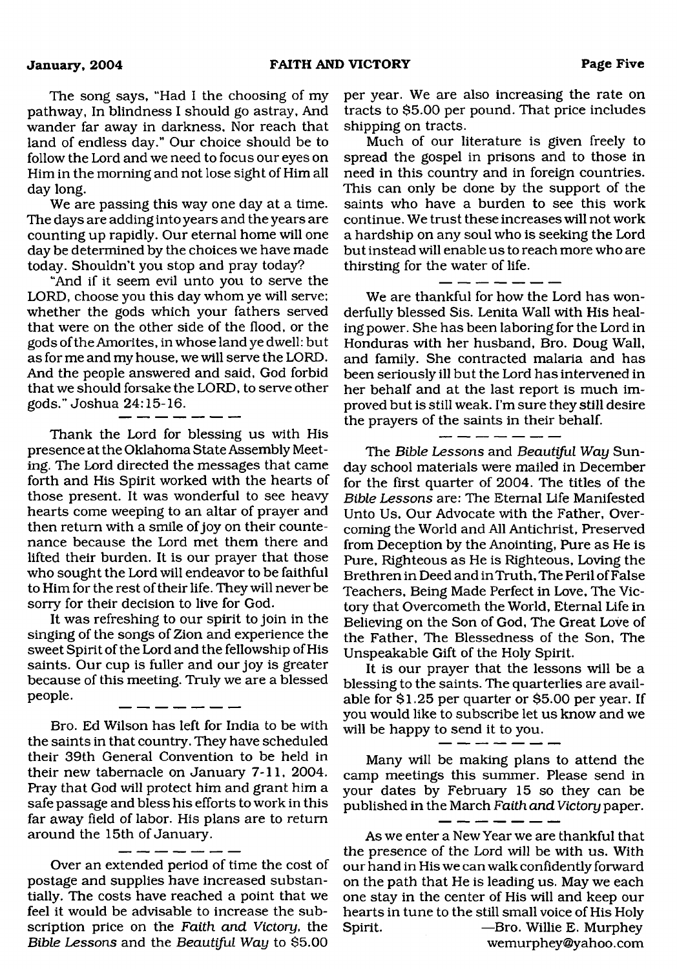The song says, "Had I the choosing of my pathway, In blindness I should go astray. And wander far away in darkness, Nor reach that land of endless day." Our choice should be to follow the Lord and we need to focus our eyes on Him in the morning and not lose sight of Him all day long.

We are passing this way one day at a time. The days are adding into years and the years are counting up rapidly. Our eternal home will one day be determined by the choices we have made today. Shouldn't you stop and pray today?

"And if it seem evil unto you to serve the LORD, choose you this day whom ye will serve; whether the gods which your fathers served that were on the other side of the flood, or the gods of the Amorites, in whose land ye dwell: but as for me and my house, we will serve the LORD. And the people answered and said, God forbid that we should forsake the LORD, to serve other gods." Joshua 24:15-16.

Thank the Lord for blessing us with His presence at the Oklahoma State Assembly Meeting. The Lord directed the messages that came forth and His Spirit worked with the hearts of those present. It was wonderful to see heavy hearts come weeping to an altar of prayer and then return with a smile of joy on their countenance because the Lord met them there and lifted their burden. It is our prayer that those who sought the Lord will endeavor to be faithful to Him for the rest of their life. They will never be sorry for their decision to live for God.

It was refreshing to our spirit to join in the singing of the songs of Zion and experience the sweet Spirit of the Lord and the fellowship of His saints. Our cup is fuller and our joy is greater because of this meeting. Truly we are a blessed people.

Bro. Ed Wilson has left for India to be with the saints in that country. They have scheduled their 39th General Convention to be held in their new tabernacle on January 7-11, 2004. Pray that God will protect him and grant him a safe passage and bless his efforts to work in this far away field of labor. His plans are to return around the 15th of January.

Over an extended period of time the cost of postage and supplies have increased substantially. The costs have reached a point that we feel it would be advisable to increase the subscription price on the *Faith and Victory,* the *Bible Lessons* and the *Beautiful Way* to \$5.00

<u>. . .</u> .

per year. We are also increasing the rate on tracts to \$5.00 per pound. That price includes shipping on tracts.

Much of our literature is given freely to spread the gospel in prisons and to those in need in this country and in foreign countries. This can only be done by the support of the saints who have a burden to see this work continue. We trust these increases will not work a hardship on any soul who is seeking the Lord but instead will enable us to reach more who are thirsting for the water of life.

We are thankful for how the Lord has wonderfully blessed Sis. Lenita Wall with His healing power. She has been laboring for the Lord in Honduras with her husband, Bro. Doug Wall, and family. She contracted malaria and has been seriously ill but the Lord has intervened in her behalf and at the last report is much improved but is still weak. I'm sure they still desire the prayers of the saints in their behalf.

 $\frac{1}{2} \left( \frac{1}{2} \right) \left( \frac{1}{2} \right) \left( \frac{1}{2} \right) \left( \frac{1}{2} \right) \left( \frac{1}{2} \right) \left( \frac{1}{2} \right) \left( \frac{1}{2} \right) \left( \frac{1}{2} \right) \left( \frac{1}{2} \right) \left( \frac{1}{2} \right) \left( \frac{1}{2} \right) \left( \frac{1}{2} \right) \left( \frac{1}{2} \right) \left( \frac{1}{2} \right) \left( \frac{1}{2} \right) \left( \frac{1}{2} \right) \left( \frac$ 

The *Bible Lessons* and *Beautiful Way* Sunday school materials were mailed in December for the first quarter of 2004. The titles of the *Bible Lessons* are: The Eternal Life Manifested Unto Us, Our Advocate with the Father, Overcoming the World and All Antichrist, Preserved from Deception by the Anointing, Pure as He is Pure, Righteous as He is Righteous, Loving the Brethren in Deed and in Truth, The Peril of False Teachers, Being Made Perfect in Love, The Victory that Overcometh the World, Eternal Life in Believing on the Son of God, The Great Love of the Father, The Blessedness of the Son, The Unspeakable Gift of the Holy Spirit.

It is our prayer that the lessons will be a blessing to the saints. The quarterlies are available for \$1.25 per quarter or \$5.00 per year. If you would like to subscribe let us know and we will be happy to send it to you.

Many will be making plans to attend the camp meetings this summer. Please send in your dates by February 15 so they can be published in the March *Faith and Victory* paper.

-------

- - - - -

As we enter a New Year we are thankful that the presence of the Lord will be with us. With our hand in His we can walk confidently forward on the path that He is leading us. May we each one stay in the center of His will and keep our hearts in tune to the still small voice of His Holy Spirit. —Bro. Willie E. Murphey wemurphey ©yahoo. com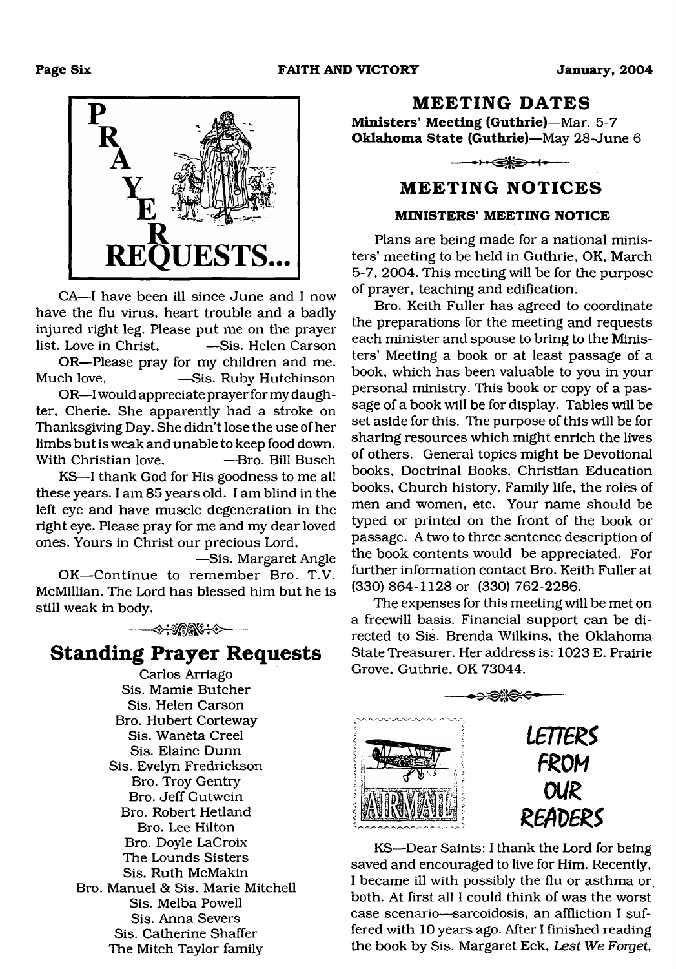

CA—I have been ill since June and I now have the flu virus, heart trouble and a badly injured right leg. Please put me on the prayer list. Love in Christ, **—Sis. Helen Carson** 

OR—Please pray for my children and me. Much love, ——Sis. Ruby Hutchinson

OR—I would appreciate prayer for my daughter, Cherie. She apparently had a stroke on Thanksgiving Day. She didn't lose the use of her limbs but is weak and unable to keep food down. With Christian love, —Bro. Bill Busch

KS—I thank God for His goodness to me all these years. I am 85 years old. I am blind in the left eye and have muscle degeneration in the right eye. Please pray for me and my dear loved ones. Yours in Christ our precious Lord,

—Sis. Margaret Angle OK—Continue to remember Bro. T.V. McMillian. The Lord has blessed him but he is still weak in body.

 $\longrightarrow$   $\rightarrow$   $\mathbb{R}$   $\mathbb{N}$   $\rightarrow$ 

## **Standing Prayer Requests**

Carlos Arriago Sis. Mamie Butcher Sis. Helen Carson Bro. Hubert Corteway Sis. Waneta Creel Sis. Elaine Dunn Sis. Evelyn Fredrickson Bro. Troy Gentry Bro. Jeff Gutwein Bro. Robert Hetland Bro. Lee Hilton Bro. Doyle LaCroix The Lounds Sisters Sis. Ruth McMakin Bro. Manuel & Sis. Marie Mitchell Sis. Melba Powell Sis. Anna Severs Sis. Catherine Shaffer The Mitch Taylor family

**M E E T IN G D A T E S Ministers' Meeting (Guthrie)**—Mar. 5-7 **Oklahoma State (Guthrie)**—May 28-June 6

 $- + -$ 

## **M E E T IN G N O T IC E S**

### **MINISTERS' MEETING NOTICE**

Plans are being made for a national ministers' meeting to be held in Guthrie, OK, March 5-7, 2004. This meeting will be for the purpose of prayer, teaching and edification.

Bro. Keith Fuller has agreed to coordinate the preparations for the meeting and requests each minister and spouse to bring to the Ministers' Meeting a book or at least passage of a book, which has been valuable to you in your personal ministry. This book or copy of a passage of a book will be for display. Tables will be set aside for this. The purpose of this will be for sharing resources which might enrich the lives of others. General topics might be Devotional books. Doctrinal Books, Christian Education books, Church history. Family life, the roles of men and women, etc. Your name should be typed or printed on the front of the book or passage. A two to three sentence description of the book contents would be appreciated. For further information contact Bro. Keith Fuller at (330) 864-1128 or (330) 762-2286.

The expenses for this meeting will be met on a freewill basis. Financial support can be directed to Sis. Brenda Wilkins, the Oklahoma State Treasurer. Her address is: 1023 E. Prairie Grove, Guthrie, OK 73044.



KS—Dear Saints: I thank the Lord for being saved and encouraged to live for Him. Recently, I became ill with possibly the flu or asthma or both. At first all I could think of was the worst case scenario—sarcoidosis, an affliction I suffered with 10 years ago. After I finished reading the book by Sis. Margaret Eck, *Lest We Forget*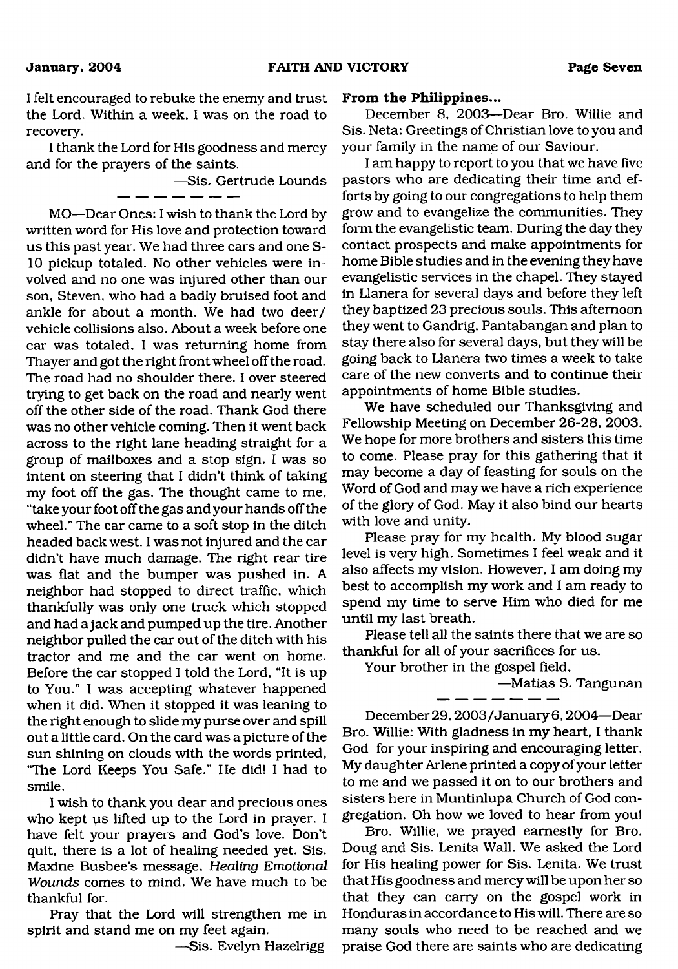I felt encouraged to rebuke the enemy and trust the Lord. Within a week, I was on the road to recovery.

I thank the Lord for His goodness and mercy and for the prayers of the saints.

—Sis. Gertrude Lounds

MO—Dear Ones: I wish to thank the Lord by written word for His love and protection toward us this past year. We had three cars and one S-10 pickup totaled. No other vehicles were involved and no one was injured other than our son, Steven, who had a badly bruised foot and ankle for about a month. We had two deer/ vehicle collisions also. About a week before one car was totaled, I was returning home from Thayer and got the right front wheel off the road. The road had no shoulder there. I over steered trying to get back on the road and nearly went off the other side of the road. Thank God there was no other vehicle coming. Then it went back across to the right lane heading straight for a group of mailboxes and a stop sign. I was so intent on steering that I didn't think of taking my foot off the gas. The thought came to me, "take your foot off the gas and your hands off the wheel." The car came to a soft stop in the ditch headed back west. I was not injured and the car didn't have much damage. The right rear tire was flat and the bumper was pushed in. A neighbor had stopped to direct traffic, which thankfully was only one truck which stopped and had a jack and pumped up the tire. Another neighbor pulled the car out of the ditch with his tractor and me and the car went on home. Before the car stopped I told the Lord, "It is up to You." I was accepting whatever happened when it did. When it stopped it was leaning to the right enough to slide my purse over and spill out a little card. On the card was a picture of the sun shining on clouds with the words printed, "The Lord Keeps You Safe." He did! I had to smile.

I wish to thank you dear and precious ones who kept us lifted up to the Lord in prayer. I have felt your prayers and God's love. Don't quit, there is a lot of healing needed yet. Sis. Maxine Busbee's message, *Healing Emotional Wounds* comes to mind. We have much to be thankful for.

Pray that the Lord will strengthen me in spirit and stand me on my feet again.

—Sis. Evelyn Hazelrigg

### **From the Philippines...**

December 8, 2003—Dear Bro. Willie and Sis. Neta: Greetings of Christian love to you and your family in the name of our Saviour.

I am happy to report to you that we have five pastors who are dedicating their time and efforts by going to our congregations to help them grow and to evangelize the communities. They form the evangelistic team. During the day they contact prospects and make appointments for home Bible studies and in the evening they have evangelistic services in the chapel. They stayed in Llanera for several days and before they left they baptized 23 precious souls. This afternoon they went to Gandrig, Pantabangan and plan to stay there also for several days, but they will be going back to Llanera two times a week to take care of the new converts and to continue their appointments of home Bible studies.

We have scheduled our Thanksgiving and Fellowship Meeting on December 26-28, 2003. We hope for more brothers and sisters this time to come. Please pray for this gathering that it may become a day of feasting for souls on the Word of God and may we have a rich experience of the glory of God. May it also bind our hearts with love and unity.

Please pray for my health. My blood sugar level is very high. Sometimes I feel weak and it also affects my vision. However, I am doing my best to accomplish my work and I am ready to spend my time to serve Him who died for me until my last breath.

Please tell all the saints there that we are so thankful for all of your sacrifices for us.

Your brother in the gospel field,

—Matias S. Tangunan

December 29,2003/January6,2004— Dear Bro. Willie: With gladness in my heart, I thank God for your inspiring and encouraging letter. My daughter Arlene printed a copy of your letter to me and we passed it on to our brothers and sisters here in Muntinlupa Church of God congregation. Oh how we loved to hear from you!

Bro. Willie, we prayed earnestly for Bro. Doug and Sis. Lenita Wall. We asked the Lord for His healing power for Sis. Lenita. We trust that His goodness and mercy will be upon her so that they can carry on the gospel work in Honduras in accordance to His will. There are so many souls who need to be reached and we praise God there are saints who are dedicating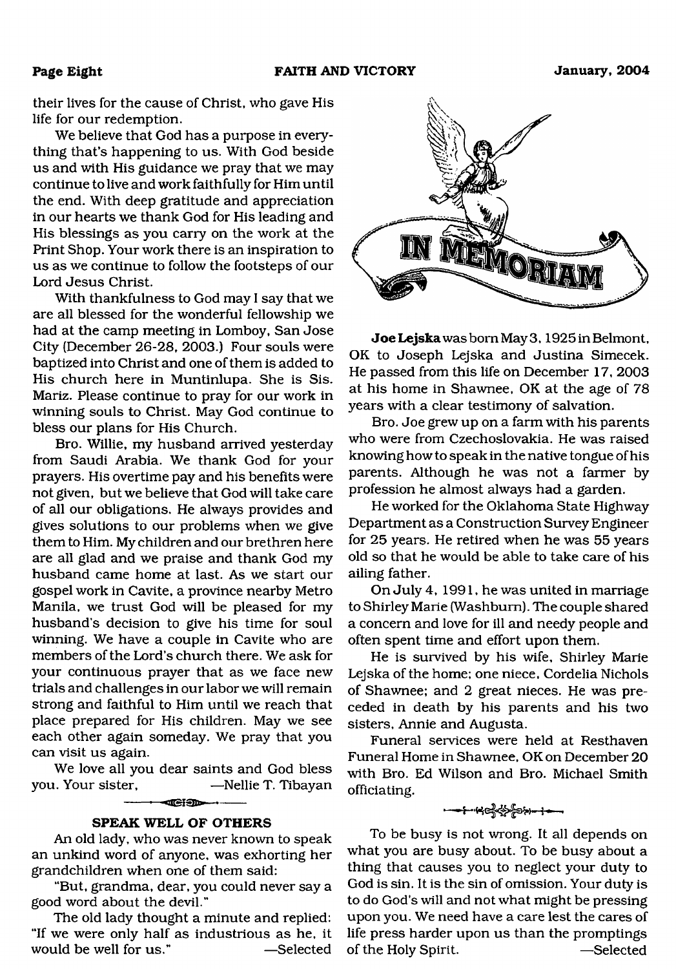their lives for the cause of Christ, who gave His life for our redemption.

We believe that God has a purpose in everything that's happening to us. With God beside us and with His guidance we pray that we may continue to live and work faithfully for Him until the end. With deep gratitude and appreciation in our hearts we thank God for His leading and His blessings as you carry on the work at the Print Shop. Your work there is an inspiration to us as we continue to follow the footsteps of our Lord Jesus Christ.

With thankfulness to God may I say that we are all blessed for the wonderful fellowship we had at the camp meeting in Lomboy, San Jose City (December 26-28, 2003.) Four souls were baptized into Christ and one of them is added to His church here in Muntinlupa. She is Sis. Mariz. Please continue to pray for our work in winning souls to Christ. May God continue to bless our plans for His Church.

Bro. Willie, my husband arrived yesterday from Saudi Arabia. We thank God for your prayers. His overtime pay and his benefits were not given, but we believe that God will take care of all our obligations. He always provides and gives solutions to our problems when we give them to Him. My children and our brethren here are all glad and we praise and thank God my husband came home at last. As we start our gospel work in Cavite, a province nearby Metro Manila, we trust God will be pleased for my husband's decision to give his time for soul winning. We have a couple in Cavite who are members of the Lord's church there. We ask for your continuous prayer that as we face new trials and challenges in our labor we will remain strong and faithful to Him until we reach that place prepared for His children. May we see each other again someday. We pray that you can visit us again.

We love all you dear saints and God bless you. Your sister, —Nellie T. Tibayan

### $-$  The response

### **SPEAK WELL OF OTHERS**

An old lady, who was never known to speak an unkind word of anyone, was exhorting her grandchildren when one of them said:

"But, grandma, dear, you could never say a good word about the devil."

The old lady thought a minute and replied: "If we were only half as industrious as he, it would be well for us." —Selected



Joe Lejska was born May 3, 1925 in Belmont, OK to Joseph Lejska and Justina Simecek. He passed from this life on December 17, 2003 at his home in Shawnee, OK at the age of 78 years with a clear testimony of salvation.

Bro. Joe grew up on a farm with his parents who were from Czechoslovakia. He was raised knowing how to speak in the native tongue of his parents. Although he was not a farmer by profession he almost always had a garden.

He worked for the Oklahoma State Highway Department as a Construction Survey Engineer for 25 years. He retired when he was 55 years old so that he would be able to take care of his ailing father.

On July 4, 1991, he was united in marriage to Shirley Marie (Washburn). The couple shared a concern and love for ill and needy people and often spent time and effort upon them.

He is survived by his wife, Shirley Marie Lejska of the home; one niece, Cordelia Nichols of Shawnee; and 2 great nieces. He was preceded in death by his parents and his two sisters, Annie and Augusta.

Funeral services were held at Resthaven Funeral Home in Shawnee, OK on December 20 with Bro. Ed Wilson and Bro. Michael Smith officiating.

To be busy is not wrong. It all depends on what you are busy about. To be busy about a thing that causes you to neglect your duty to God is sin. It is the sin of omission. Your duty is to do God's will and not what might be pressing upon you. We need have a care lest the cares of life press harder upon us than the promptings of the Holy Spirit. — Selected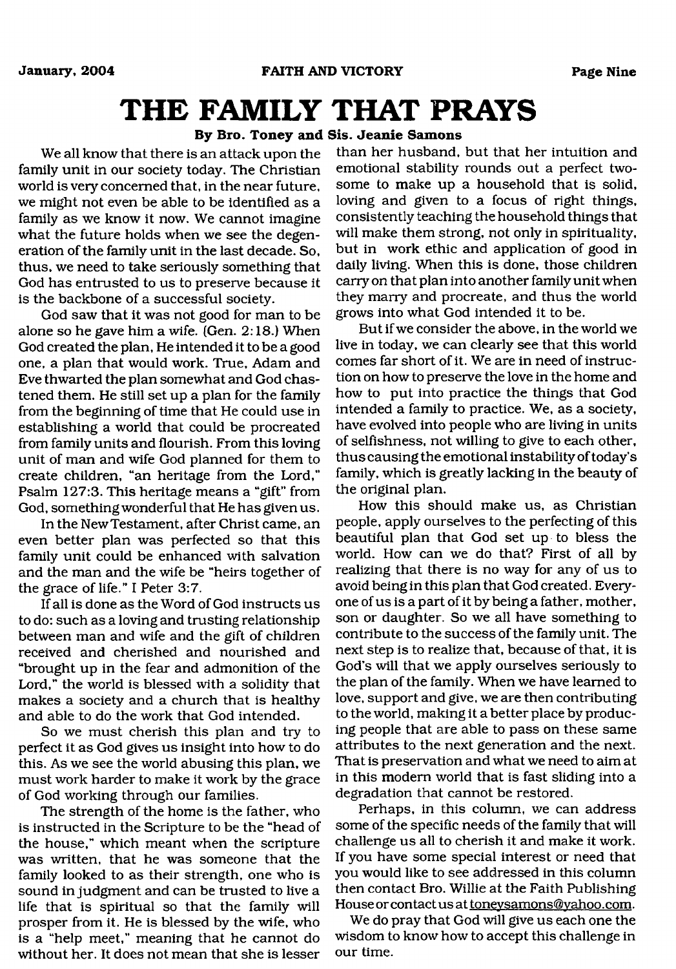# <span id="page-8-0"></span>**THE FAMILY THAT PRAYS**

### **By Bro. Toney and Sis. Jeanie Samons**

We all know that there is an attack upon the family unit in our society today. The Christian world is very concerned that, in the near future, we might not even be able to be identified as a family as we know it now. We cannot imagine what the future holds when we see the degeneration of the family unit in the last decade. So, thus, we need to take seriously something that God has entrusted to us to preserve because it is the backbone of a successful society.

God saw that it was not good for man to be alone so he gave him a wife. (Gen. 2:18.) When God created the plan, He intended it to be a good one, a plan that would work. True, Adam and Eve thwarted the plan somewhat and God chastened them. He still set up a plan for the family from the beginning of time that He could use in establishing a world that could be procreated from family units and flourish. From this loving unit of man and wife God planned for them to create children, "an heritage from the Lord," Psalm 127:3. This heritage means a "gift" from God, something wonderful that He has given us.

In the New Testament, after Christ came, an even better plan was perfected so that this family unit could be enhanced with salvation and the man and the wife be "heirs together of the grace of life." I Peter 3:7.

If all is done as the Word of God instructs us to do: such as a loving and trusting relationship between man and wife and the gift of children received and cherished and nourished and "brought up in the fear and admonition of the Lord," the world is blessed with a solidity that makes a society and a church that is healthy and able to do the work that God intended.

So we must cherish this plan and try to perfect it as God gives us insight into how to do this. As we see the world abusing this plan, we must work harder to make it work by the grace of God working through our families.

The strength of the home is the father, who is instructed in the Scripture to be the "head of the house," which meant when the scripture was written, that he was someone that the family looked to as their strength, one who is sound in judgment and can be trusted to live a life that is spiritual so that the family will prosper from it. He is blessed by the wife, who is a "help meet," meaning that he cannot do without her. It does not mean that she is lesser

than her husband, but that her intuition and emotional stability rounds out a perfect twosome to make up a household that is solid, loving and given to a focus of right things, consistently teaching the household things that will make them strong, not only in spirituality, but in work ethic and application of good in daily living. When this is done, those children carry on that plan into another family unit when they marry and procreate, and thus the world grows into what God intended it to be.

But if we consider the above, in the world we live in today, we can clearly see that this world comes far short of it. We are in need of instruction on how to preserve the love in the home and how to put into practice the things that God intended a family to practice. We, as a society, have evolved into people who are living in units of selfishness, not willing to give to each other, thus causing the emotional instability of today's family, which is greatly lacking in the beauty of the original plan.

How this should make us, as Christian people, apply ourselves to the perfecting of this beautiful plan that God set up to bless the world. How can we do that? First of all by realizing that there is no way for any of us to avoid being in this plan that God created. Everyone of us is a part of it by being a father, mother, son or daughter. So we all have something to contribute to the success of the family unit. The next step is to realize that, because of that, it is God's will that we apply ourselves seriously to the plan of the family. When we have learned to love, support and give, we are then contributing to the world, making it a better place by producing people that are able to pass on these same attributes to the next generation and the next. That is preservation and what we need to aim at in this modem world that is fast sliding into a degradation that cannot be restored.

Perhaps, in this column, we can address some of the specific needs of the family that will challenge us all to cherish it and make it work. If you have some special interest or need that you would like to see addressed in this column then contact Bro. Willie at the Faith Publishing House or contact us at [toneysamons@yahoo.com.](mailto:toneysamons@yahoo.com)

We do pray that God will give us each one the wisdom to know how to accept this challenge in our time.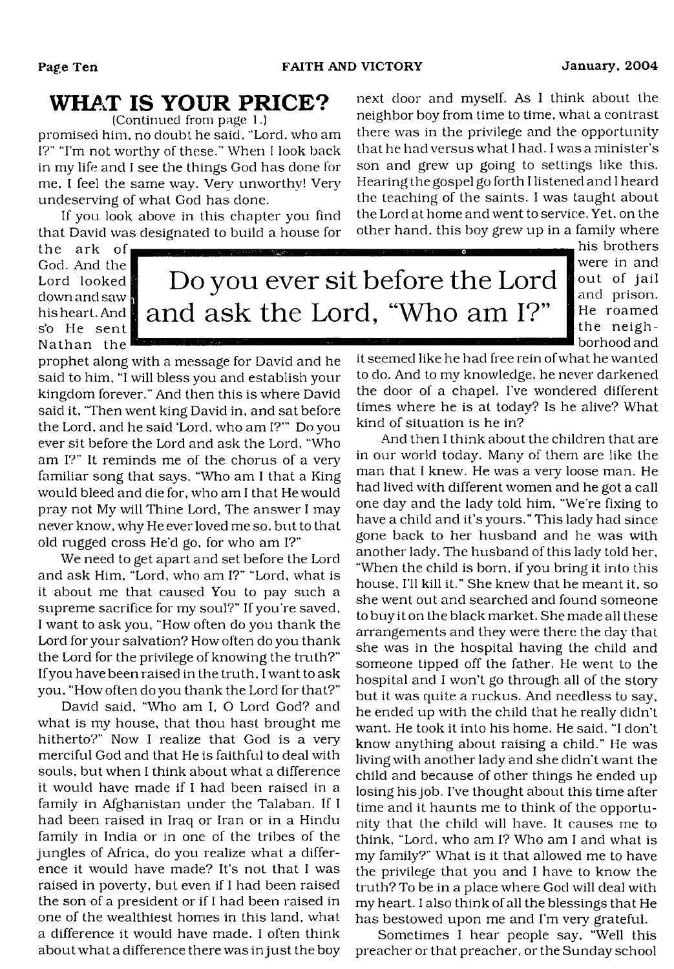### **Page Ten FAITH AND VICTORY January, 2004**

## **WHAT IS YOUR PRICE?**

(Continued from page 1.)

promised him, no doubt he said, "Lord, who am I?'' "I'm not worthy of these." When I look back in my life and I see the things God has done for me, I feel the same way. Very unworthy! Very undeserving of what God has done.

If you look above in this chapter you find that David was designated to build a house for next door and myself. As I think about the neighbor boy from time to time, what a contrast there was in the privilege and the opportunity that he had versus what I had. I was a minister's son and grew up going to settings like this. Hearing the gospel go forth I listened and I heard the teaching of the saints. I was taught about the Lord at home and went to service. Yet, on the other hand, this boy grew up in a family where

the ark of God. And the Lord looked down and saw his heart. And s'o He sent Nathan the



his brothers were in and out of jail and prison. He roamed the neighborhood and

prophet along with a message for David and he said to him, "I will bless you and establish your kingdom forever." And then this is where David said it, 'Then went king David in, and sat before the Lord, and he said 'Lord, who am I?"' Do you ever sit before the Lord and ask the Lord, "Who am I?" It reminds me of the chorus of a very familiar song that says, "Who am I that a King would bleed and die for, who am I that He would pray not My will Thine Lord, The answer I may never know, why He ever loved me so. but to that old rugged cross He'd go. for who am I?"

We need to get apart and set before the Lord and ask Him, "Lord, who am I?" "Lord, what is it about me that caused You to pay such a supreme sacrifice for my soul?" If you're saved, I want to ask you, "How often do you thank the Lord for your salvation? How often do you thank the Lord for the privilege of knowing the truth?" If you have been raised in the truth, I want to ask you, "How often do you thank the Lord for that?"

David said, "Who am I, O Lord God? and what is my house, that thou hast brought me hitherto?" Now I realize that God is a very merciful God and that He is faithful to deal with souls, but when I think about what a difference it would have made if I had been raised in a family in Afghanistan under the Talaban. If I had been raised in Iraq or Iran or in a Hindu family in India or in one of the tribes of the jungles of Africa, do you realize what a difference it would have made? It's not that I was raised in poverty, but even if I had been raised the son of a president or if I had been raised in one of the wealthiest homes in this land, what a difference it would have made. I often think about what a difference there was in just the boy

it seemed like he had free rein of what he wanted to do. And to my knowledge, he never darkened the door of a chapel. I've wondered different times where he is at today? Is he alive? What kind of situation is he in?

And then I think about the children that are in our world today. Many of them are like the man that I knew. He was a very loose man. He had lived with different women and he got a call one day and the lady told him, "We're fixing to have a child and it's yours." This lady had since gone back to her husband and he was with another lady. The husband of this lady told her, "When the child is born, if you bring it into this house, I'll kill it." She knew that he meant it, so she went out and searched and found someone to buy it on the black market. She made all these arrangements and they were there the day that she was in the hospital having the child and someone tipped off the father. He went to the hospital and I won't go through all of the story but it was quite a ruckus. And needless to say, he ended up with the child that he really didn't want. He took it into his home. He said, "I don't know anything about raising a child." He was living with another lady and she didn't want the child and because of other things he ended up losing his job. I've thought about this time after time and it haunts me to think of the opportunity that the child will have. It causes me to think, "Lord, who am I? Who am I and what is my family?" What is it that allowed me to have the privilege that you and I have to know the truth? To be in a place where God will deal with my heart. I also think of all the blessings that He has bestowed upon me and I'm very grateful.

Sometimes I hear people say, "Well this preacher or that preacher, or the Sunday school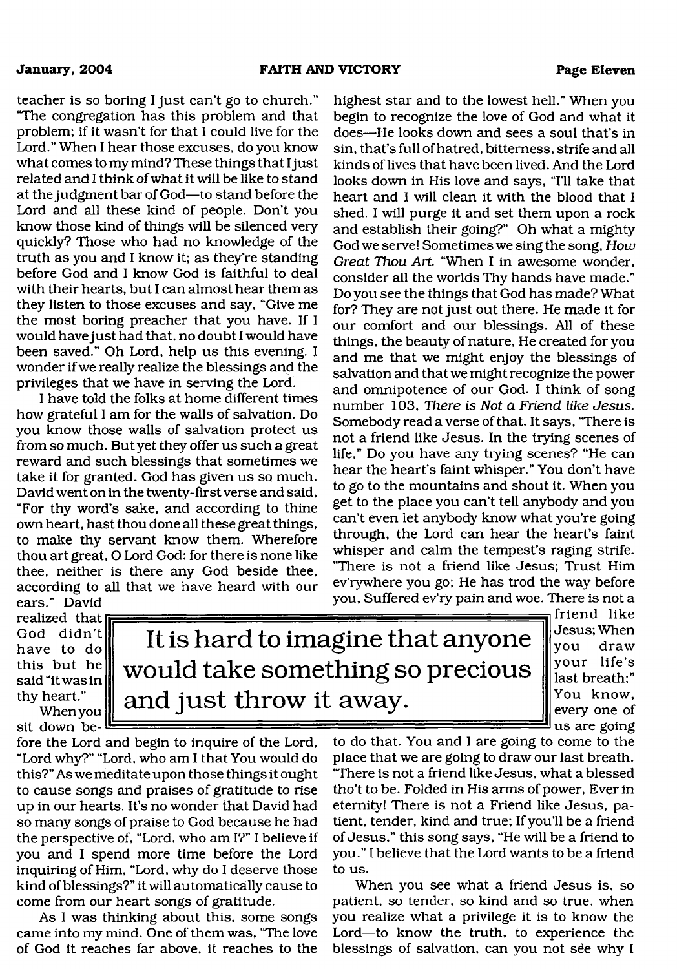teacher is so boring I just can't go to church." "The congregation has this problem and that problem; if it wasn't for that I could live for the Lord." When I hear those excuses, do you know what comes to my mind? These things that I just related and I think of what it will be like to stand at the judgment bar of God—to stand before the Lord and all these kind of people. Don't you know those kind of things will be silenced very quickly? Those who had no knowledge of the truth as you and I know it; as they're standing before God and I know God is faithful to deal with their hearts, but I can almost hear them as they listen to those excuses and say, "Give me the most boring preacher that you have. If I would have just had that, no doubt I would have been saved." Oh Lord, help us this evening. I wonder if we really realize the blessings and the privileges that we have in serving the Lord.

I have told the folks at home different times how grateful I am for the walls of salvation. Do you know those walls of salvation protect us from so much. But yet they offer us such a great reward and such blessings that sometimes we take it for granted. God has given us so much. David went on in the twenty-first verse and said, "For thy word's sake, and according to thine own heart, hast thou done all these great things, to make thy servant know them. Wherefore thou art great, O Lord God: for there is none like thee, neither is there any God beside thee, according to all that we have heard with our ears." David

highest star and to the lowest hell." When you begin to recognize the love of God and what it does—He looks down and sees a soul that's in sin, that's full of hatred, bitterness, strife and all kinds of lives that have been lived. And the Lord looks down in His love and says, "I'll take that heart and I will clean it with the blood that I shed. I will purge it and set them upon a rock and establish their going?" Oh what a mighty God we serve! Sometimes we sing the song, *How Great Thou Art.* "When I in awesome wonder, consider all the worlds Thy hands have made." Do you see the things that God has made? What for? They are not just out there. He made it for our comfort and our blessings. All of these things, the beauty of nature, He created for you and me that we might enjoy the blessings of salvation and that we might recognize the power and omnipotence of our God. I think of song number 103, *There is Not a Friend like Jesus.* Somebody read a verse of that. It says, "There is not a friend like Jesus. In the trying scenes of life," Do you have any trying scenes? "He can hear the heart's faint whisper." You don't have to go to the mountains and shout it. When you get to the place you can't tell anybody and you can't even let anybody know what you're going through, the Lord can hear the heart's faint whisper and calm the tempest's raging strife. ''There is not a friend like Jesus; Trust Him ev'rywhere you go; He has trod the way before you, Suffered ev'ry pain and woe. There is not a

realized that God didn't have to do this but he said "it was in thy heart."

When you sit down be-



friend like Jesus; When you draw your life 's last breath;" You know, every one of us are going

fore the Lord and begin to inquire of the Lord, "Lord why?" "Lord, who am I that You would do this?" As we meditate upon those things it ought to cause songs and praises of gratitude to rise up in our hearts. It's no wonder that David had so many songs of praise to God because he had the perspective of, "Lord, who am I?" I believe if you and I spend more time before the Lord inquiring of Him, "Lord, why do I deserve those kind of blessings?" it will automatically cause to come from our heart songs of gratitude.

As I was thinking about this, some songs came into my mind. One of them was, "The love of God it reaches far above, it reaches to the

to do that. You and I are going to come to the place that we are going to draw our last breath. "There is not a friend like Jesus, what a blessed tho't to be. Folded in His arms of power, Ever in eternity! There is not a Friend like Jesus, patient, tender, kind and true; If you'll be a friend of Jesus," this song says, "He will be a friend to you." I believe that the Lord wants to be a friend to us.

When you see what a friend Jesus is, so patient, so tender, so kind and so true, when you realize what a privilege it is to know the Lord—to know the truth, to experience the blessings of salvation, can you not see why I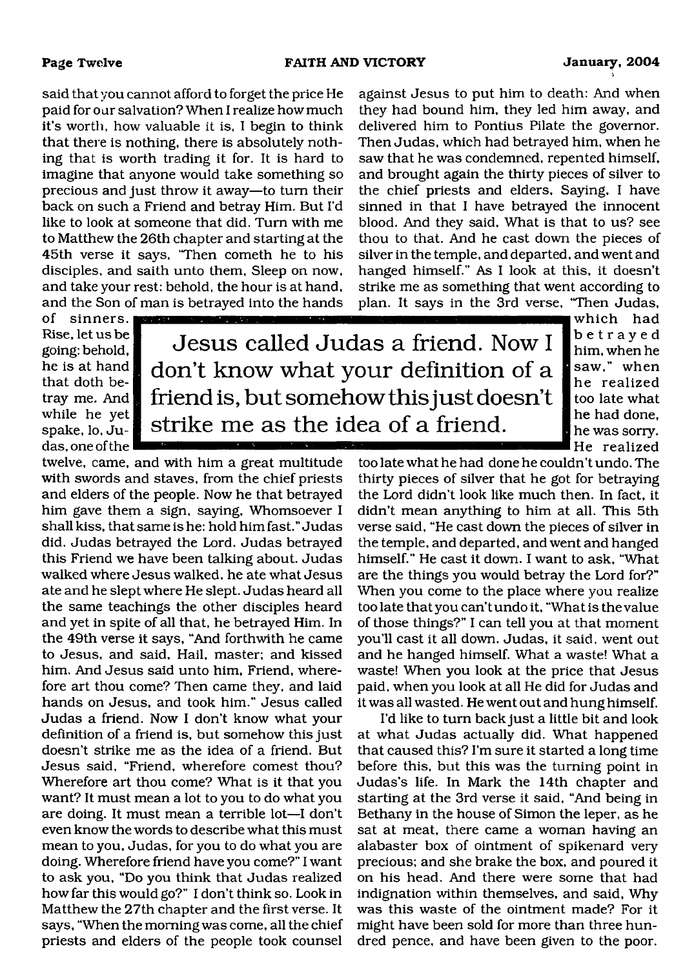### **Page Twelve**

### **FAITH AND VICTORY**

said that you cannot afford to forget the price He paid for our salvation? When I realize how much it's worth, how valuable it is, I begin to think that there is nothing, there is absolutely nothing that is worth trading it for. It is hard to imagine that anyone would take something so precious and just throw it away—to turn their back on such a Friend and betray Him. But I'd like to look at someone that did. Turn with me to Matthew the 26th chapter and starting at the 45th verse it says, 'Then cometh he to his disciples, and saith unto them, Sleep on now, and take your rest: behold, the hour is at hand, and the Son of man is betrayed into the hands

against Jesus to put him to death: And when they had bound him, they led him away, and delivered him to Pontius Pilate the governor. Then Judas, which had betrayed him, when he saw that he was condemned, repented himself, and brought again the thirty pieces of silver to the chief priests and elders, Saying, I have sinned in that I have betrayed the innocent blood. And they said. What is that to us? see thou to that. And he cast down the pieces of silver in the temple, and departed, and went and hanged himself." As I look at this, it doesn't strike me as something that went according to plan. It says in the 3rd verse, "Then Judas,

of sinners. that doth bedas, one of the

**Jesus called Judas a friend. Now I** don't know what your definition of a friend is, but somehow this just doesn't strike me as the idea of a friend.

which had betrayed him, when he saw," when he realized too late what he had done, he was sorry. He realized

too late what he had done he couldn't undo. The thirty pieces of silver that he got for betraying the Lord didn't look like much then. In fact, it didn't mean anything to him at all. This 5th verse said, "He cast down the pieces of silver in the temple, and departed, and went and hanged himself." He cast it down. I want to ask, "What are the things you would betray the Lord for?" When you come to the place where you realize too late that you can't undo it, "What is the value of those things?" I can tell you at that moment you'll cast it all down. Judas, it said, went out and he hanged himself. What a waste! What a waste! When you look at the price that Jesus paid, when you look at all He did for Judas and it was all wasted. He went out and hung himself.

I'd like to turn back just a little bit and look at what Judas actually did. What happened that caused this? I'm sure it started a long time before this, but this was the turning point in Judas's life. In Mark the 14th chapter and starting at the 3rd verse it said, "And being in Bethany in the house of Simon the leper, as he sat at meat, there came a woman having an alabaster box of ointment of spikenard very precious; and she brake the box, and poured it on his head. And there were some that had indignation within themselves, and said, Why was this waste of the ointment made? For it might have been sold for more than three hundred pence, and have been given to the poor.

Rise, let us be going: behold, he is at hand tray me. And while he yet spake, lo, Ju-

twelve, came, and with him a great multitude with swords and staves, from the chief priests and elders of the people. Now he that betrayed him gave them a sign, saying, Whomsoever I shall kiss, that same is he: hold him fast." Judas did. Judas betrayed the Lord. Judas betrayed this Friend we have been talking about. Judas walked where Jesus walked, he ate what Jesus ate and he slept where He slept. Judas heard all the same teachings the other disciples heard and yet in spite of all that, he betrayed Him. In the 49th verse it says, "And forthwith he came to Jesus, and said. Hail, master; and kissed him. And Jesus said unto him, Friend, wherefore art thou come? Then came they, and laid hands on Jesus, and took him." Jesus called Judas a friend. Now I don't know what your definition of a friend is, but somehow this just doesn't strike me as the idea of a friend. But Jesus said, "Friend, wherefore comest thou? Wherefore art thou come? What is it that you want? It must mean a lot to you to do what you are doing. It must mean a terrible lot—I don't even know the words to describe what this must mean to you, Judas, for you to do what you are doing. Wherefore friend have you come?" I want to ask you, "Do you think that Judas realized how far this would go?" I don't think so. Look in Matthew the 27th chapter and the first verse. It says, "When the morning was come, all the chief priests and elders of the people took counsel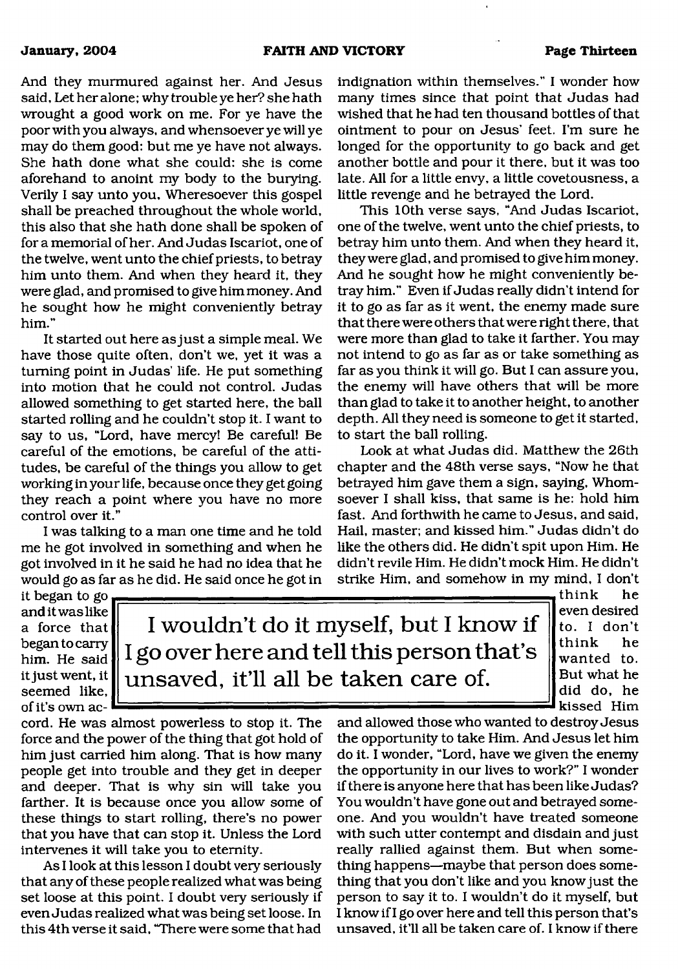And they murmured against her. And Jesus said, Let her alone; why trouble ye her? she hath wrought a good work on me. For ye have the poor with you always, and whensoever ye will ye may do them good: but me ye have not always. She hath done what she could: she is come aforehand to anoint my body to the burying. Verily I say unto you, Wheresoever this gospel shall be preached throughout the whole world, this also that she hath done shall be spoken of for a memorial of her. And Judas Iscariot, one of the twelve, went unto the chief priests, to betray him unto them. And when they heard it, they were glad, and promised to give him money. And he sought how he might conveniently betray him."

It started out here as just a simple meal. We have those quite often, don't we, yet it was a turning point in Judas' life. He put something into motion that he could not control. Judas allowed something to get started here, the ball started rolling and he couldn't stop it. I want to say to us, "Lord, have mercy! Be careful! Be careful of the emotions, be careful of the attitudes, be careful of the things you allow to get working in your life, because once they get going they reach a point where you have no more control over it."

I was talking to a man one time and he told me he got involved in something and when he got involved in it he said he had no idea that he would go as far as he did. He said once he got in indignation within themselves." I wonder how many times since that point that Judas had wished that he had ten thousand bottles of that ointment to pour on Jesus' feet. I'm sure he longed for the opportunity to go back and get another bottle and pour it there, but it was too late. All for a little envy, a little covetousness, a little revenge and he betrayed the Lord.

This 10th verse says, "And Judas Iscariot, one of the twelve, went unto the chief priests, to betray him unto them. And when they heard it, they were glad, and promised to give him money. And he sought how he might conveniently betray him." Even if Judas really didn't intend for it to go as far as it went, the enemy made sure that there were others that were right there, that were more than glad to take it farther. You may not intend to go as far as or take something as far as you think it will go. But I can assure you, the enemy will have others that will be more than glad to take it to another height, to another depth. All they need is someone to get it started, to start the ball rolling.

Look at what Judas did. Matthew the 26th chapter and the 48th verse says, "Now he that betrayed him gave them a sign, saying, Whomsoever I shall kiss, that same is he: hold him fast. And forthwith he came to Jesus, and said, Hail, master; and kissed him." Judas didn't do like the others did. He didn't spit upon Him. He didn't revile Him. He didn't mock Him. He didn't strike Him, and somehow in my mind, I don't

it began to go and it was like a force that began to carry him. He said it just went, it seemed like, of it's own ac-



think he even desired to. I don't think he wanted to. But what he did do, he kissed Him

cord. He was almost powerless to stop it. The force and the power of the thing that got hold of him just carried him along. That is how many people get into trouble and they get in deeper and deeper. That is why sin will take you farther. It is because once you allow some of these things to start rolling, there's no power that you have that can stop it. Unless the Lord intervenes it will take you to eternity.

As I look at this lesson I doubt very seriously that any of these people realized what was being set loose at this point. I doubt very seriously if even Judas realized what was being set loose. In this 4th verse it said, "There were some that had

and allowed those who wanted to destroy Jesus the opportunity to take Him. And Jesus let him do it. I wonder, "Lord, have we given the enemy the opportunity in our lives to work?" I wonder if there is anyone here that has been like Judas? You wouldn't have gone out and betrayed someone. And you wouldn't have treated someone with such utter contempt and disdain and just really rallied against them. But when something happens—maybe that person does something that you don't like and you know just the person to say it to. I wouldn't do it myself, but I know if I go over here and tell this person that's unsaved, it'll all be taken care of. I know if there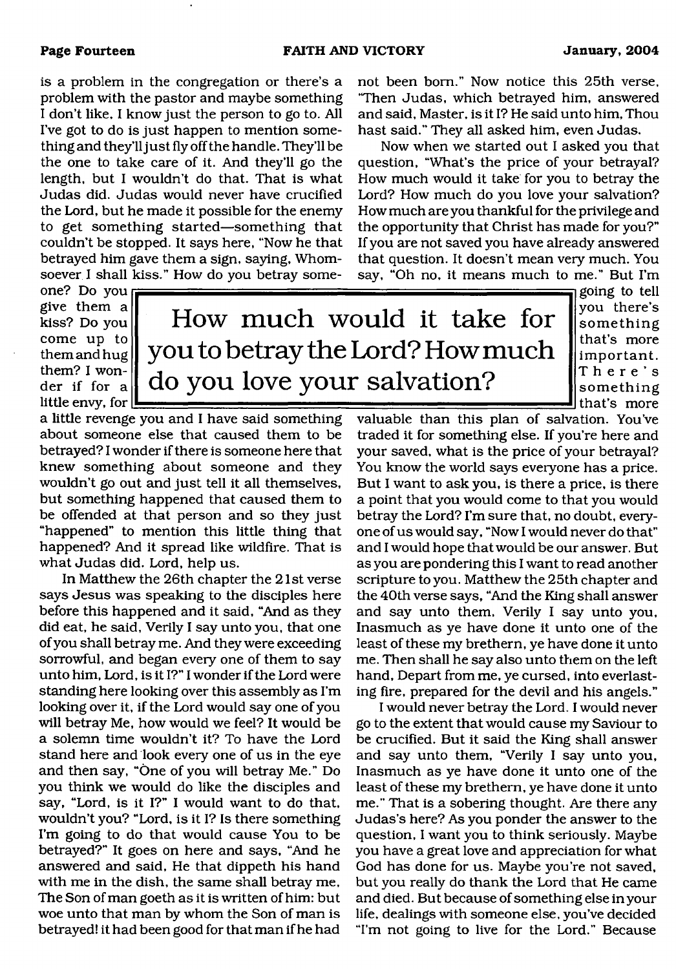going to tell you there's something that's more im portant. **There's** something that's more

is a problem in the congregation or there's a problem with the pastor and maybe something I don't like, I know just the person to go to. All I've got to do is just happen to mention something and they'll just fly off the handle. They'll be the one to take care of it. And they'll go the length, but I wouldn't do that. That is what Judas did. Judas would never have crucified the Lord, but he made it possible for the enemy to get something started—something that couldn't be stopped. It says here, "Now he that betrayed him gave them a sign, saying, Whomsoever I shall kiss." How do you betray somenot been bom." Now notice this 25th verse, 'Then Judas, which betrayed him, answered and said, Master, is it I? He said unto him, Thou hast said." They all asked him, even Judas.

Now when we started out I asked you that question, "What's the price of your betrayal? How much would it take for you to betray the Lord? How much do you love your salvation? How much are you thankful for the privilege and the opportunity that Christ has made for you?" If you are not saved you have already answered that question. It doesn't mean very much. You say, "Oh no, it means much to me." But I'm

one? Do you give them a kiss? Do you come up to them and hug them? I wonder if for a little envy, for



a little revenge you and I have said something about someone else that caused them to be betrayed? I wonder if there is someone here that knew something about someone and they wouldn't go out and just tell it all themselves, but something happened that caused them to be offended at that person and so they just "happened" to mention this little thing that happened? And it spread like wildfire. That is what Judas did. Lord, help us.

In Matthew the 26th chapter the 21st verse says Jesus was speaking to the disciples here before this happened and it said, "And as they did eat, he said, Verily I say unto you, that one of you shall betray me. And they were exceeding sorrowful, and began every one of them to say unto him, Lord, is it I?" I wonder if the Lord were standing here looking over this assembly as I'm looking over it, if the Lord would say one of you will betray Me, how would we feel? It would be a solemn time wouldn't it? To have the Lord stand here and look every one of us in the eye and then say, "One of you will betray Me." Do you think we would do like the disciples and say, "Lord, is it I?" I would want to do that, wouldn't you? "Lord, is it I? Is there something I'm going to do that would cause You to be betrayed?" It goes on here and says, "And he answered and said, He that dippeth his hand with me in the dish, the same shall betray me. The Son of man goeth as it is written of him: but woe unto that man by whom the Son of man is betrayed! it had been good for that man if he had

valuable than this plan of salvation. You've traded it for something else. If you're here and your saved, what is the price of your betrayal? You know the world says everyone has a price. But I want to ask you, is there a price, is there a point that you would come to that you would betray the Lord? I'm sure that, no doubt, everyone of us would say, "Now I would never do that" and I would hope that would be our answer. But as you are pondering this I want to read another scripture to you. Matthew the 25th chapter and the 40th verse says, "And the King shall answer and say unto them, Verily I say unto you, Inasmuch as ye have done it unto one of the least of these my brethern, ye have done it unto me. Then shall he say also unto them on the left hand, Depart from me, ye cursed, into everlasting fire, prepared for the devil and his angels."

I would never betray the Lord. I would never go to the extent that would cause my Saviour to be crucified. But it said the King shall answer and say unto them, "Verily I say unto you, Inasmuch as ye have done it unto one of the least of these my brethern, ye have done it unto me." That is a sobering thought. Are there any Judas's here? As you ponder the answer to the question, I want you to think seriously. Maybe you have a great love and appreciation for what God has done for us. Maybe you're not saved, but you really do thank the Lord that He came and died. But because of something else in your life, dealings with someone else, you've decided "I'm not going to live for the Lord." Because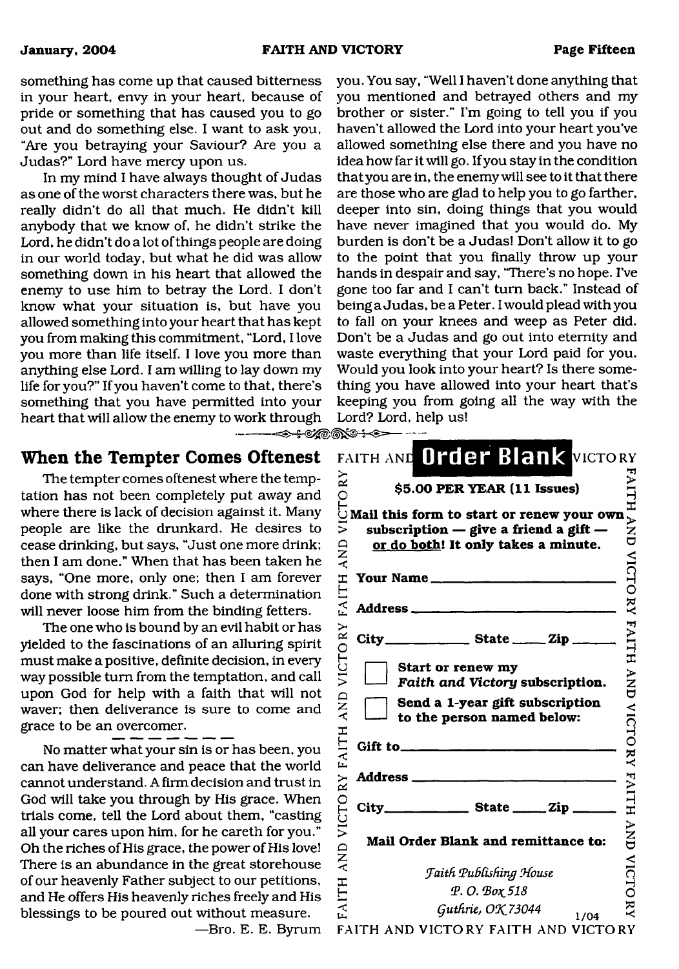something has come up that caused bitterness in your heart, envy in your heart, because of pride or something that has caused you to go out and do something else. I want to ask you, "Are you betraying your Saviour? Are you a Judas?" Lord have mercy upon us.

In my mind I have always thought of Judas as one of the worst characters there was, but he really didn't do all that much. He didn't kill anybody that we know of, he didn't strike the Lord, he didn't do a lot of things people are doing in our world today, but what he did was allow something down in his heart that allowed the enemy to use him to betray the Lord. I don't know what your situation is, but have you allowed something into your heart that has kept you from making this commitment, "Lord, I love you more than life itself. I love you more than anything else Lord. I am willing to lay down my life for you?" If you haven't come to that, there's something that you have permitted into your heart that will allow the enemy to work through

you. You say, "Well I haven't done anything that you mentioned and betrayed others and my brother or sister." I'm going to tell you if you haven't allowed the Lord into your heart you've allowed something else there and you have no idea how far it will go. If you stay in the condition that you are in, the enemy will see to it that there are those who are glad to help you to go farther, deeper into sin, doing things that you would have never imagined that you would do. My burden is don't be a Judas! Don't allow it to go to the point that you finally throw up your hands in despair and say, "There's no hope. I've gone too far and I can't turn back." Instead of being a Judas, be a Peter. I would plead with you to fall on your knees and weep as Peter did. Don't be a Judas and go out into eternity and waste everything that your Lord paid for you. Would you look into your heart? Is there something you have allowed into your heart that's keeping you from going all the way with the Would you look into<br>thing you have allow<br>keeping you from g<br>Lord? Lord, help us!<br>ROP:

## **When the Tempter Comes Oftenest**

The tempter comes oftenest where the temptation has not been completely put away and where there is lack of decision against it. Many people are like the drunkard. He desires to cease drinking, but says, "Just one more drink; then I am done." When that has been taken he says, "One more, only one; then I am forever done with strong drink." Such a determination will never loose him from the binding fetters.

The one who is bound by an evil habit or has yielded to the fascinations of an alluring spirit must make a positive, definite decision, in every way possible turn from the temptation, and call upon God for help with a faith that will not waver; then deliverance is sure to come and grace to be an overcomer.

No matter what your sin is or has been, you can have deliverance and peace that the world cannot understand. A firm decision and trust in God will take you through by His grace. When trials come, tell the Lord about them, "casting all your cares upon him, for he careth for you." Oh the riches of His grace, the power of His love! There is an abundance in the great storehouse of our heavenly Father subject to our petitions, and He offers His heavenly riches freely and His blessings to be poured out without measure.

<span id="page-14-0"></span>FAITH AND Order Blank VICTORY **\$5.00 PER YEAR (11 Issues) Pi**  $\stackrel{\text{\tiny$L$}}{\cup}$  Mail this form to start or renew your own  $\stackrel{\text{\tiny$L$}}{\sim}$ **> subscription — give a friend a gift —** *z* **or do both! It only takes a minute. °** O H  $\mathbf{r}$ **Your Name.** FAITH O  $\mathbf{K}$ **Address**  $\frac{\approx}{6}$  City\_ *>* **State, Zip** H h **y** *X* **Start or renew my** *>* **z** o **>** *Faith and Victory* **subscription.**  $\Xi$ **Send a 1-year gift subscription**  $\leq$ **to the person named below:** *<* o H O *X* **b Gift to.**  $\tilde{F}$  $\ddot{\sim}$ **Address** > *Pi >*M *O* h u H *X* City\_\_\_\_\_\_\_\_\_\_\_\_\_\_\_State \_\_\_\_\_\_\_\_ Zip *>* **z** o  $\triangleright$ **Mail Order Blank and remittance to:** Q Z *<*  $\leq$ *faith Tu6dsfiin£ 9-fouse* o H **o** *X P. O. Box 518* h بر *Guthrie, OK 73044* 1/04 *<* u\* FAITH AND VICTORY FAITH AND VICTORY

—Bro. E. E. Byrum